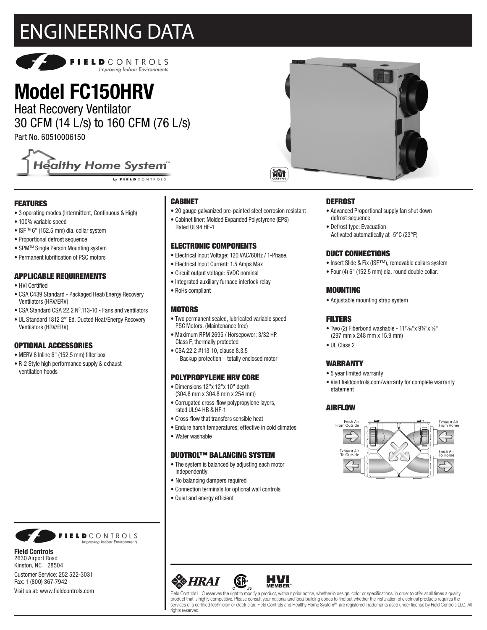## ENGINEERING DATA



### **Model FC150HRV**

Heat Recovery Ventilator 30 CFM (14 L/s) to 160 CFM (76 L/s)

Part No. 60510006150



#### FEATURES

- 3 operating modes (Intermittent, Continuous & High)
- 100% variable speed
- ISFTM 6" (152.5 mm) dia. collar system
- Proportional defrost sequence
- SPMTM Single Person Mounting system
- Permanent lubrification of PSC motors

#### APPLICABLE REQUIREMENTS

- HVI Certified
- CSA C439 Standard Packaged Heat/Energy Recovery Ventilators (HRV/ERV)
- CSA Standard CSA 22.2 Nº.113-10 Fans and ventilators
- UL Standard 1812 2<sup>nd</sup> Ed. Ducted Heat/Energy Recovery Ventilators (HRV/ERV)

#### OPTIONAL ACCESSORIES

- MERV 8 Inline 6" (152.5 mm) filter box
- R-2 Style high performance supply & exhaust ventilation hoods

#### CABINET

- 20 gauge galvanized pre-painted steel corrosion resistant
- Cabinet liner: Molded Expanded Polystyrene (EPS) Rated UL94 HF-1

#### ELECTRONIC COMPONENTS

- Electrical Input Voltage: 120 VAC/60Hz / 1-Phase.
- Electrical Input Current: 1.5 Amps Max
- Circuit output voltage: 5VDC nominal
- Integrated auxiliary furnace interlock relay
- RoHs compliant

#### **MOTORS**

- Two permanent sealed, lubricated variable speed PSC Motors. (Maintenance free)
- Maximum RPM 2695 / Horsepower; 3/32 HP. Class F, thermally protected
- CSA 22.2 #113-10, clause 8.3.5 – Backup protection – totally enclosed motor

#### POLYPROPYLENE HRV CORE

- Dimensions 12"x 12"x 10" depth (304.8 mm x 304.8 mm x 254 mm)
- Corrugated cross-flow polypropylene layers, rated UL94 HB & HF-1
- Cross-flow that transfers sensible heat
- Endure harsh temperatures; effective in cold climates
- Water washable

#### DUOTROL™ BALANCING SYSTEM

- The system is balanced by adjusting each motor independently
- No balancing dampers required
- Connection terminals for optional wall controls
- Quiet and energy efficient



#### **DEFROST**

- Advanced Proportional supply fan shut down defrost sequence
- Defrost type: Evacuation Activated automatically at -5°C (23°F)

#### DUCT CONNECTIONS

- Insert Slide & Fix (ISF™), removable collars system
- Four (4) 6" (152.5 mm) dia. round double collar.

#### MOUNTING

• Adjustable mounting strap system

#### **FILTERS**

- Two (2) Fiberbond washable  $11^{11}/16$ "x  $9\frac{3}{4}$ "x  $\frac{5}{8}$ " (297 mm x 248 mm x 15.9 mm)
- III Class 2

#### WARRANTY

- 5 year limited warranty
- Visit fieldcontrols.com/warranty for complete warranty statement

#### AIRFLOW





Field Controls LLC reserves the right to modify a product, without prior notice, whether in design, color or specifications, in order to offer at all times a quality<br>product that is highly competitive. Please consult your services of a certified technician or electrician. Field Controls and Healthy Home System<sup>M</sup> are registered Trademarks used under license by Field Controls LLC. All rights reserved

**HVI**<br>MEMBER



**Field Controls** 2630 Airport Road Kinston, NC 28504

Customer Service: 252 522-3031 Fax: 1 (800) 367-7942 Visit us at: www.fieldcontrols.com